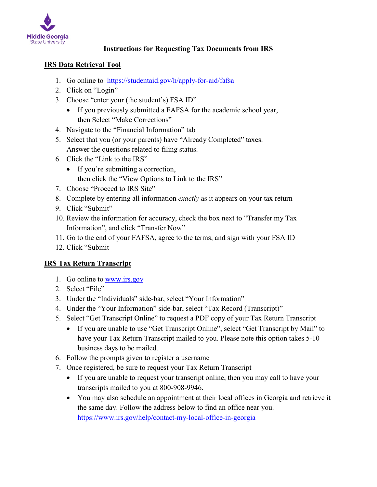

# **Instructions for Requesting Tax Documents from IRS**

#### **IRS Data Retrieval Tool**

- 1. Go online to <https://studentaid.gov/h/apply-for-aid/fafsa>
- 2. Click on "Login"
- 3. Choose "enter your (the student's) FSA ID"
	- If you previously submitted a FAFSA for the academic school year, then Select "Make Corrections"
- 4. Navigate to the "Financial Information" tab
- 5. Select that you (or your parents) have "Already Completed" taxes. Answer the questions related to filing status.
- 6. Click the "Link to the IRS"
	- If you're submitting a correction, then click the "View Options to Link to the IRS"
- 7. Choose "Proceed to IRS Site"
- 8. Complete by entering all information *exactly* as it appears on your tax return
- 9. Click "Submit"
- 10. Review the information for accuracy, check the box next to "Transfer my Tax Information", and click "Transfer Now"
- 11. Go to the end of your FAFSA, agree to the terms, and sign with your FSA ID
- 12. Click "Submit

# **IRS Tax Return Transcript**

- 1. Go online to [www.irs.gov](http://www.irs.gov/)
- 2. Select "File"
- 3. Under the "Individuals" side-bar, select "Your Information"
- 4. Under the "Your Information" side-bar, select "Tax Record (Transcript)"
- 5. Select "Get Transcript Online" to request a PDF copy of your Tax Return Transcript
	- If you are unable to use "Get Transcript Online", select "Get Transcript by Mail" to have your Tax Return Transcript mailed to you. Please note this option takes 5-10 business days to be mailed.
- 6. Follow the prompts given to register a username
- 7. Once registered, be sure to request your Tax Return Transcript
	- If you are unable to request your transcript online, then you may call to have your transcripts mailed to you at 800-908-9946.
	- You may also schedule an appointment at their local offices in Georgia and retrieve it the same day. Follow the address below to find an office near you. <https://www.irs.gov/help/contact-my-local-office-in-georgia>